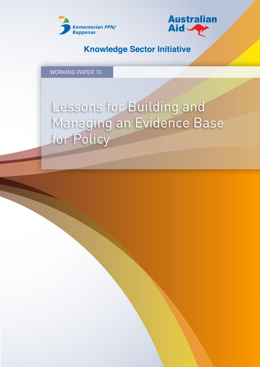



### **Knowledge Sector Initiative**

WORKING PAPER 10

# Lessons for Building and Managing an Evidence Base for Policy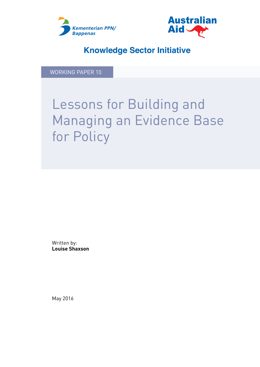



### **Knowledge Sector Initiative**

WORKING PAPER 10

# Lessons for Building and Managing an Evidence Base for Policy

Written by: **Louise Shaxson**

May 2016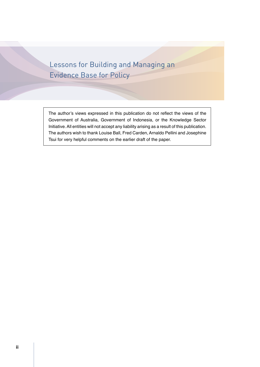Lessons for Building and Managing an Evidence Base for Policy

The author's views expressed in this publication do not reflect the views of the Government of Australia, Government of Indonesia, or the Knowledge Sector Initiative. All entities will not accept any liability arising as a result of this publication. The authors wish to thank Louise Ball, Fred Carden, Arnaldo Pellini and Josephine Tsui for very helpful comments on the earlier draft of the paper.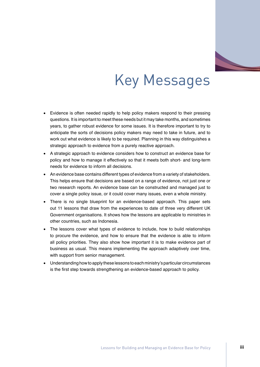

# Key Messages

- Evidence is often needed rapidly to help policy makers respond to their pressing questions. It is important to meet these needs but it may take months, and sometimes years, to gather robust evidence for some issues. It is therefore important to try to anticipate the sorts of decisions policy makers may need to take in future, and to work out what evidence is likely to be required. Planning in this way distinguishes a strategic approach to evidence from a purely reactive approach.
- A strategic approach to evidence considers how to construct an evidence base for policy and how to manage it effectively so that it meets both short- and long-term needs for evidence to inform all decisions.
- An evidence base contains different types of evidence from a variety of stakeholders. This helps ensure that decisions are based on a range of evidence, not just one or two research reports. An evidence base can be constructed and managed just to cover a single policy issue, or it could cover many issues, even a whole ministry.
- There is no single blueprint for an evidence-based approach. This paper sets out 11 lessons that draw from the experiences to date of three very different UK Government organisations. It shows how the lessons are applicable to ministries in other countries, such as Indonesia.
- The lessons cover what types of evidence to include, how to build relationships to procure the evidence, and how to ensure that the evidence is able to inform all policy priorities. They also show how important it is to make evidence part of business as usual. This means implementing the approach adaptively over time, with support from senior management.
- • Understanding how to apply these lessons to each ministry's particular circumstances is the first step towards strengthening an evidence-based approach to policy.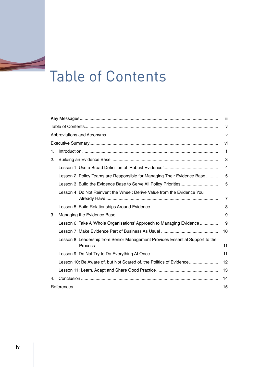# Table of Contents

|    |                                                                               | ΪİΙ |  |  |
|----|-------------------------------------------------------------------------------|-----|--|--|
|    |                                                                               |     |  |  |
|    |                                                                               |     |  |  |
|    |                                                                               |     |  |  |
| 1. |                                                                               | 1   |  |  |
| 2. |                                                                               | 3   |  |  |
|    |                                                                               | 4   |  |  |
|    | Lesson 2: Policy Teams are Responsible for Managing Their Evidence Base       | 5   |  |  |
|    |                                                                               | 5   |  |  |
|    | Lesson 4: Do Not Reinvent the Wheel: Derive Value from the Evidence You       | 7   |  |  |
|    |                                                                               | 8   |  |  |
| 3. |                                                                               | 9   |  |  |
|    | Lesson 6: Take A 'Whole Organisations' Approach to Managing Evidence          | 9   |  |  |
|    |                                                                               | 10  |  |  |
|    | Lesson 8: Leadership from Senior Management Provides Essential Support to the | 11  |  |  |
|    |                                                                               | 11  |  |  |
|    | Lesson 10: Be Aware of, but Not Scared of, the Politics of Evidence           | 12  |  |  |
|    |                                                                               | 13  |  |  |
| 4. |                                                                               | 14  |  |  |
|    | 15                                                                            |     |  |  |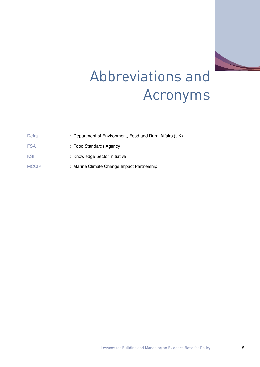

# Abbreviations and Acronyms

| Defra        | : Department of Environment, Food and Rural Affairs (UK) |
|--------------|----------------------------------------------------------|
| FSA          | : Food Standards Agency                                  |
| KSI          | : Knowledge Sector Initiative                            |
| <b>MCCIP</b> | : Marine Climate Change Impact Partnership               |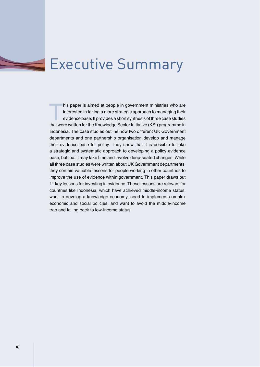### Executive Summary

his paper is aimed at people in government ministries who are<br>interested in taking a more strategic approach to managing their<br>evidence base. It provides a short synthesis of three case studies<br>that were written for the Kn interested in taking a more strategic approach to managing their evidence base. It provides a short synthesis of three case studies that were written for the Knowledge Sector Initiative (KSI) programme in Indonesia. The case studies outline how two different UK Government departments and one partnership organisation develop and manage their evidence base for policy. They show that it is possible to take a strategic and systematic approach to developing a policy evidence base, but that it may take time and involve deep-seated changes. While all three case studies were written about UK Government departments, they contain valuable lessons for people working in other countries to improve the use of evidence within government. This paper draws out 11 key lessons for investing in evidence. These lessons are relevant for countries like Indonesia, which have achieved middle-income status, want to develop a knowledge economy, need to implement complex economic and social policies, and want to avoid the middle-income trap and falling back to low-income status.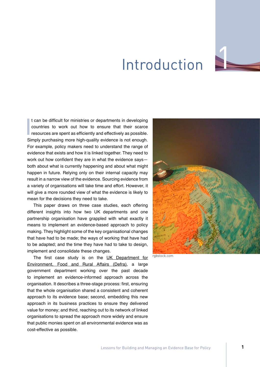

## Introduction

I can be difficult for ministries or departments in developing<br>countries to work out how to ensure that their scarce<br>resources are spent as efficiently and effectively as possible.<br>Simply purchasing more high-quality evide t can be difficult for ministries or departments in developing countries to work out how to ensure that their scarce resources are spent as efficiently and effectively as possible. For example, policy makers need to understand the range of evidence that exists and how it is linked together. They need to work out how confident they are in what the evidence says both about what is currently happening and about what might happen in future. Relying only on their internal capacity may result in a narrow view of the evidence. Sourcing evidence from a variety of organisations will take time and effort. However, it will give a more rounded view of what the evidence is likely to mean for the decisions they need to take.

This paper draws on three case studies, each offering different insights into how two UK departments and one partnership organisation have grappled with what exactly it means to implement an evidence-based approach to policy making. They highlight some of the key organisational changes that have had to be made; the ways of working that have had to be adapted; and the time they have had to take to design, implement and consolidate these changes.

The first case study is on the UK Department for [Environment, Food and Rural Affairs \(Defra\)](http://www.ksi-indonesia.org/index.php/publications/2014/11/28/31/investing-in-evidence-lessons-from-the-uk-department-for-environment-food-and-rural-affairs.html), a large government department working over the past decade to implement an evidence-informed approach across the organisation. It describes a three-stage process: first, ensuring that the whole organisation shared a consistent and coherent approach to its evidence base; second, embedding this new approach in its business practices to ensure they delivered value for money; and third, reaching out to its network of linked organisations to spread the approach more widely and ensure that public monies spent on all environmental evidence was as cost-effective as possible.

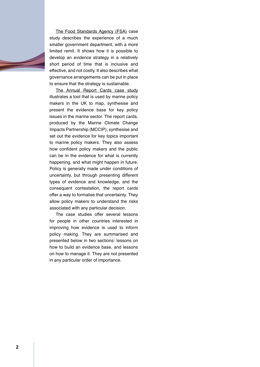

The [Food Standards Agency \(FSA\)](http://www.ksi-indonesia.org/index.php/publications/2015/04/09/52/using-workshops-to-develop-an-evidence-strategy-lessons-from-the-uk-food-standards-agency.html) case [study](http://www.ksi-indonesia.org/index.php/publications/2015/04/09/52/using-workshops-to-develop-an-evidence-strategy-lessons-from-the-uk-food-standards-agency.html) describes the experience of a much smaller government department, with a more limited remit. It shows how it is possible to develop an evidence strategy in a relatively short period of time that is inclusive and effective, and not costly. It also describes what governance arrangements can be put in place to ensure that the strategy is sustainable.

[The Annual Report Cards case study](http://www.ksi-indonesia.org/index.php/publications/2016/05/13/85/synthesising-and-presenting-complex-evidence-for-policy-making-experience-with-annual-report-cards.html) illustrates a tool that is used by marine policy makers in the UK to map, synthesise and present the evidence base for key policy issues in the marine sector. The report cards, produced by the Marine Climate Change Impacts Partnership (MCCIP), synthesise and set out the evidence for key topics important to marine policy makers. They also assess how confident policy makers and the public can be in the evidence for what is currently happening, and what might happen in future. Policy is generally made under conditions of uncertainty, but through presenting different types of evidence and knowledge, and the consequent contestation, the report cards offer a way to formalise that uncertainty. They allow policy makers to understand the risks associated with any particular decision.

The case studies offer several lessons for people in other countries interested in improving how evidence is used to inform policy making. They are summarised and presented below in two sections: lessons on how to build an evidence base, and lessons on how to manage it. They are not presented in any particular order of importance.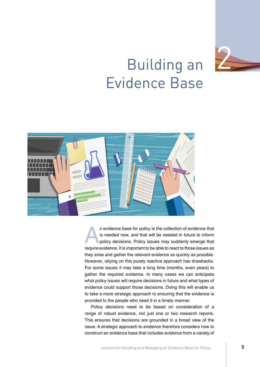

# Building an Evidence Base



In evidence base for policy is the collection of evidence that is needed now, and that will be needed in future to inform policy decisions. Policy issues may suddenly emerge that require evidence. It is important to be abl is needed now, and that will be needed in future to inform policy decisions. Policy issues may suddenly emerge that they arise and gather the relevant evidence as quickly as possible. However, relying on this purely reactive approach has drawbacks. For some issues it may take a long time (months, even years) to gather the required evidence. In many cases we can anticipate what policy issues will require decisions in future and what types of evidence could support those decisions. Doing this will enable us to take a more strategic approach to ensuring that the evidence is provided to the people who need it in a timely manner.

Policy decisions need to be based on consideration of a range of robust evidence, not just one or two research reports. This ensures that decisions are grounded in a broad view of the issue. A strategic approach to evidence therefore considers how to construct an evidence base that includes evidence from a variety of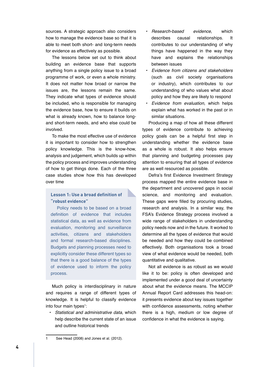sources. A strategic approach also considers how to manage the evidence base so that it is able to meet both short- and long-term needs for evidence as effectively as possible.

The lessons below set out to think about building an evidence base that supports anything from a single policy issue to a broad programme of work, or even a whole ministry. It does not matter how broad or narrow the issues are, the lessons remain the same. They indicate what types of evidence should be included, who is responsible for managing the evidence base, how to ensure it builds on what is already known, how to balance longand short-term needs, and who else could be involved.

To make the most effective use of evidence it is important to consider how to strengthen policy knowledge. This is the know-how, analysis and judgement, which builds up within the policy process and improves understanding of how to get things done. Each of the three case studies show how this has developed over time

#### **Lesson 1: Use a broad definition of "robust evidence"**

Policy needs to be based on a broad definition of evidence that includes statistical data, as well as evidence from evaluation, monitoring and surveillance activities, citizens and stakeholders and formal research-based disciplines. Budgets and planning processes need to explicitly consider these different types so that there is a good balance of the types of evidence used to inform the policy process.

Much policy is interdisciplinary in nature and requires a range of different types of knowledge. It is helpful to classify evidence into four main types<sup>1</sup>:

• Statistical and administrative data, which help describe the current state of an issue and outline historical trends

- Research-based evidence, which describes causal relationships. It contributes to our understanding of why things have happened in the way they have and explains the relationships between issues
- • Evidence from citizens and stakeholders (such as civil society organisations or industry), which contributes to our understanding of who values what about policy and how they are likely to respond
- Evidence from evaluation, which helps explain what has worked in the past or in similar situations.

Producing a map of how all these different types of evidence contribute to achieving policy goals can be a helpful first step in understanding whether the evidence base as a whole is robust. It also helps ensure that planning and budgeting processes pay attention to ensuring that all types of evidence are as well resourced as possible.

Defra's first Evidence Investment Strategy process mapped the entire evidence base in the department and uncovered gaps in social science, and monitoring and evaluation. These gaps were filled by procuring studies, research and analysis. In a similar way, the FSA's Evidence Strategy process involved a wide range of stakeholders in understanding policy needs now and in the future. It worked to determine all the types of evidence that would be needed and how they could be combined effectively. Both organisations took a broad view of what evidence would be needed, both quantitative and qualitative.

Not all evidence is as robust as we would like it to be: policy is often developed and implemented under a good deal of uncertainty about what the evidence means. The MCCIP Annual Report Card addresses this head-on: it presents evidence about key issues together with confidence assessments, noting whether there is a high, medium or low degree of confidence in what the evidence is saying.

<sup>1</sup> See Head (2008) and Jones et al. (2012).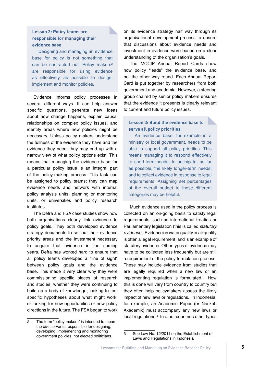#### **Lesson 2: Policy teams are responsible for managing their evidence base**

Designing and managing an evidence base for policy is not something that can be contracted out. Policy makers<sup>2</sup> are responsible for using evidence as effectively as possible to design, implement and monitor policies.

Evidence informs policy processes in several different ways. It can help answer specific questions, generate new ideas about how change happens, explain causal relationships on complex policy issues, and identify areas where new policies might be necessary. Unless policy makers understand the fullness of the evidence they have and the evidence they need, they may end up with a narrow view of what policy options exist. This means that managing the evidence base for a particular policy issue is an integral part of the policy-making process. This task can be assigned to policy teams; they can map evidence needs and network with internal policy analysis units, planning or monitoring units, or universities and policy research institutes.

The Defra and FSA case studies show how both organisations clearly link evidence to policy goals. They both developed evidence strategy documents to set out their evidence priority areas and the investment necessary to acquire that evidence in the coming years. Defra has worked hard to ensure that all policy teams developed a "line of sight" between policy goals and the evidence base. This made it very clear why they were commissioning specific pieces of research and studies; whether they were continuing to build up a body of knowledge; looking to test specific hypotheses about what might work; or looking for new opportunities or new policy directions in the future. The FSA began to work

on its evidence strategy half way through its organisational development process to ensure that discussions about evidence needs and investment in evidence were based on a clear understanding of the organisation's goals.

The MCCIP Annual Report Cards show how policy "leads" the evidence base, and not the other way round. Each Annual Report Card is put together by researchers from both government and academia. However, a steering group chaired by senior policy makers ensures that the evidence it presents is clearly relevant to current and future policy issues.

#### **Lesson 3: Build the evidence base to serve all policy priorities**

An evidence base, for example in a ministry or local government, needs to be able to support all policy priorities. This means managing it to respond effectively to short-term needs; to anticipate, as far as possible, the likely longer-term needs; and to collect evidence in response to legal requirements. Assigning set percentages of the overall budget to these different categories may be helpful.

Much evidence used in the policy process is collected on an on-going basis to satisfy legal requirements, such as international treaties or Parliamentary legislation (this is called statutory evidence). Evidence on water quality or air quality is often a legal requirement, and is an example of statutory evidence. Other types of evidence may have to be collected less frequently but are still a requirement of the policy formulation process. These may include evidence from studies that are legally required when a new law or an implementing regulation is formulated. How this is done will vary from country to country but they often help policymakers assess the likely impact of new laws or regulations. In Indonesia, for example, an Academic Paper (or Naskah Akademik) must accompany any new laws or local regulations.<sup>3</sup> In other countries other types

<sup>2</sup> The term "policy makers" is intended to mean the civil servants responsible for designing, developing, implementing and monitoring government policies, not elected politicians.

<sup>3</sup> See Law No. 12/2011 on the Establishment of Laws and Regulations in Indonesia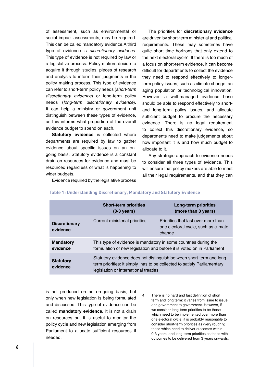of assessment, such as environmental or social impact assessments, may be required. This can be called mandatory evidence.A third type of evidence is discretionary evidence. This type of evidence is not required by law or a legislative process. Policy makers decide to acquire it through studies, pieces of research and analysis to inform their judgments in the policy making process. This type of evidence can refer to short-term policy needs (short-term discretionary evidence) or long-term policy needs (long-term discretionary evidence). It can help a ministry or government unit distinguish between these types of evidence, as this informs what proportion of the overall evidence budget to spend on each.

**Statutory evidence** is collected where departments are required by law to gather evidence about specific issues on an ongoing basis. Statutory evidence is a constant drain on resources for evidence and must be resourced regardless of what is happening to wider budgets.

The priorities for **discretionary evidence**  are driven by short-term ministerial and political requirements. These may sometimes have quite short time horizons that only extend to the next electoral cycle<sup>4</sup> . If there is too much of a focus on short-term evidence, it can become difficult for departments to collect the evidence they need to respond effectively to longerterm policy issues, such as climate change, an aging population or technological innovation. However, a well-managed evidence base should be able to respond effectively to shortand long-term policy issues, and allocate sufficient budget to procure the necessary evidence. There is no legal requirement to collect this discretionary evidence, so departments need to make judgements about how important it is and how much budget to allocate to it.

Any strategic approach to evidence needs to consider all three types of evidence. This will ensure that policy makers are able to meet all their legal requirements, and that they can

Evidence required by the legislative process

|                                  | <b>Short-term priorities</b><br>$(0-3 \text{ years})$                                                                                                                                    | Long-term priorities<br>(more than 3 years)                                           |  |
|----------------------------------|------------------------------------------------------------------------------------------------------------------------------------------------------------------------------------------|---------------------------------------------------------------------------------------|--|
| <b>Discretionary</b><br>evidence | Current ministerial priorities                                                                                                                                                           | Priorities that last over more than<br>one electoral cycle, such as climate<br>change |  |
| <b>Mandatory</b><br>evidence     | This type of evidence is mandatory in some countries during the<br>formulation of new legislation and before it is voted on in Parliament                                                |                                                                                       |  |
| <b>Statutory</b><br>evidence     | Statutory evidence does not distinguish between short-term and long-<br>term priorities: it simply has to be collected to satisfy Parliamentary<br>legislation or international treaties |                                                                                       |  |

#### **Table 1: Understanding Discretionary, Mandatory and Statutory Evidence**

is not produced on an on-going basis, but only when new legislation is being formulated and discussed. This type of evidence can be called **mandatory evidence.** It is not a drain on resources but it is useful to monitor the policy cycle and new legislation emerging from Parliament to allocate sufficient resources if needed.

<sup>4</sup> There is no hard and fast definition of short term and long term: it varies from issue to issue and government to government. However, if we consider long-term priorities to be those which need to be implemented over more than one electoral cycle, it is probably reasonable to consider short-term priorities as (very roughly) those which need to deliver outcomes within 0-3 years, and long-term priorities as those with outcomes to be delivered from 3 years onwards.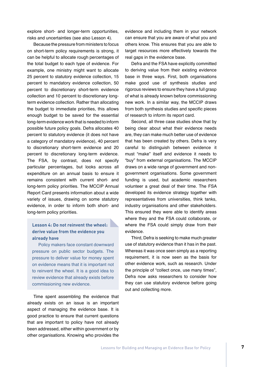explore short- and longer-term opportunities, risks and uncertainties (see also Lesson 4).

Because the pressure from ministers to focus on short-term policy requirements is strong, it can be helpful to allocate rough percentages of the total budget to each type of evidence. For example, one ministry might want to allocate 25 percent to statutory evidence collection, 15 percent to mandatory evidence collection, 50 percent to discretionary short-term evidence collection and 10 percent to discretionary longterm evidence collection. Rather than allocating the budget to immediate priorities, this allows enough budget to be saved for the essential long-term evidence work that is needed to inform possible future policy goals. Defra allocates 40 percent to statutory evidence (it does not have a category of mandatory evidence), 40 percent to discretionary short-term evidence and 20 percent to discretionary long-term evidence. The FSA, by contrast, does not specify particular percentages, but looks across all expenditure on an annual basis to ensure it remains consistent with current short- and long-term policy priorities. The MCCIP Annual Report Card presents information about a wide variety of issues, drawing on some statutory evidence, in order to inform both short- and long-term policy priorities.

#### **Lesson 4: Do not reinvent the wheel: derive value from the evidence you already have**

Policy makers face constant downward pressure on public sector budgets. The pressure to deliver value for money spent on evidence means that it is important not to reinvent the wheel. It is a good idea to review evidence that already exists before commissioning new evidence.

Time spent assembling the evidence that already exists on an issue is an important aspect of managing the evidence base. It is good practice to ensure that current questions that are important to policy have not already been addressed, either within government or by other organisations. Knowing who provides the

evidence and including them in your network can ensure that you are aware of what you and others know. This ensures that you are able to target resources more effectively towards the real gaps in the evidence base.

Defra and the FSA have explicitly committed to deriving value from their existing evidence base in three ways. First, both organisations make good use of synthesis studies and rigorous reviews to ensure they have a full grasp of what is already known before commissioning new work. In a similar way, the MCCIP draws from both synthesis studies and specific pieces of research to inform its report card.

Second, all three case studies show that by being clear about what their evidence needs are, they can make much better use of evidence that has been created by others. Defra is very careful to distinguish between evidence it must "make" itself and evidence it needs to "buy" from external organisations. The MCCIP draws on a wide range of government and nongovernment organisations. Some government funding is used, but academic researchers volunteer a great deal of their time. The FSA developed its evidence strategy together with representatives from universities, think tanks, industry organisations and other stakeholders. This ensured they were able to identify areas where they and the FSA could collaborate, or where the FSA could simply draw from their evidence.

Third, Defra is seeking to make much greater use of statutory evidence than it has in the past. Whereas it was once seen simply as a reporting requirement, it is now seen as the basis for other evidence work, such as research. Under the principle of "collect once, use many times", Defra now asks researchers to consider how they can use statutory evidence before going out and collecting more.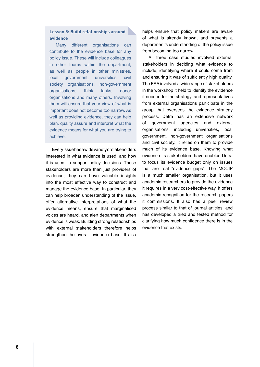#### **Lesson 5: Build relationships around evidence**

Many different organisations can contribute to the evidence base for any policy issue. These will include colleagues in other teams within the department, as well as people in other ministries, local government, universities, civil society organisations, non-government organisations, think tanks, donor organisations and many others. Involving them will ensure that your view of what is important does not become too narrow. As well as providing evidence, they can help plan, quality assure and interpret what the evidence means for what you are trying to achieve.

Every issue has a wide variety of stakeholders interested in what evidence is used, and how it is used, to support policy decisions. These stakeholders are more than just providers of evidence; they can have valuable insights into the most effective way to construct and manage the evidence base. In particular, they can help broaden understanding of the issue, offer alternative interpretations of what the evidence means, ensure that marginalised voices are heard, and alert departments when evidence is weak. Building strong relationships with external stakeholders therefore helps strengthen the overall evidence base. It also helps ensure that policy makers are aware of what is already known, and prevents a department's understanding of the policy issue from becoming too narrow.

All three case studies involved external stakeholders in deciding what evidence to include, identifying where it could come from and ensuring it was of sufficiently high quality. The FSA involved a wide range of stakeholders in the workshop it held to identify the evidence it needed for the strategy, and representatives from external organisations participate in the group that oversees the evidence strategy process. Defra has an extensive network of government agencies and external organisations, including universities, local government, non-government organisations and civil society. It relies on them to provide much of its evidence base. Knowing what evidence its stakeholders have enables Defra to focus its evidence budget only on issues that are real "evidence gaps". The MCCIP is a much smaller organisation, but it uses academic researchers to provide the evidence it requires in a very cost-effective way. It offers academic recognition for the research papers it commissions. It also has a peer review process similar to that of journal articles, and has developed a tried and tested method for clarifying how much confidence there is in the evidence that exists.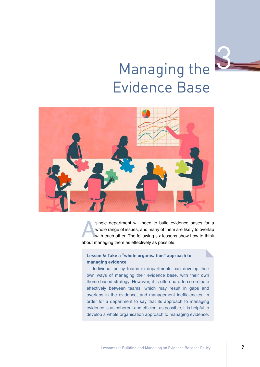

# Managing the Evidence Base



single department will need to build evidence bases for a<br>whole range of issues, and many of them are likely to overlap<br>with each other. The following six lessons show how to think<br>about managing them as effectively as pos whole range of issues, and many of them are likely to overlap with each other. The following six lessons show how to think about managing them as effectively as possible.

#### **Lesson 6: Take a "whole organisation" approach to managing evidence**

Individual policy teams in departments can develop their own ways of managing their evidence base, with their own theme-based strategy. However, it is often hard to co-ordinate effectively between teams, which may result in gaps and overlaps in the evidence, and management inefficiencies. In order for a department to say that its approach to managing evidence is as coherent and efficient as possible, it is helpful to develop a whole organisation approach to managing evidence.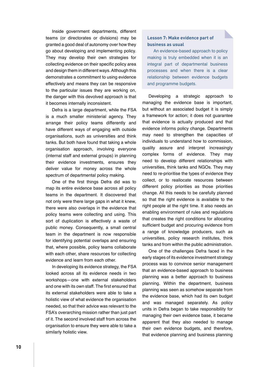Inside government departments, different teams (or directorates or divisions) may be granted a good deal of autonomy over how they go about developing and implementing policy. They may develop their own strategies for collecting evidence on their specific policy area and design them in different ways. Although this demonstrates a commitment to using evidence effectively and means they can be responsive to the particular issues they are working on, the danger with this devolved approach is that it becomes internally inconsistent.

Defra is a large department, while the FSA is a much smaller ministerial agency. They arrange their policy teams differently and have different ways of engaging with outside organisations, such as universities and think tanks. But both have found that taking a whole organisation approach, involving everyone (internal staff and external groups) in planning their evidence investments, ensures they deliver value for money across the whole spectrum of departmental policy making.

One of the first things Defra did was to map its entire evidence base across all policy teams in the department. It discovered that not only were there large gaps in what it knew, there were also overlaps in the evidence that policy teams were collecting and using. This sort of duplication is effectively a waste of public money. Consequently, a small central team in the department is now responsible for identifying potential overlaps and ensuring that, where possible, policy teams collaborate with each other, share resources for collecting evidence and learn from each other.

In developing its evidence strategy, the FSA looked across all its evidence needs in two workshops—one with external stakeholders and one with its own staff. The first ensured that its external stakeholders were able to take a holistic view of what evidence the organisation needed, so that their advice was relevant to the FSA's overarching mission rather than just part of it. The second involved staff from across the organisation to ensure they were able to take a similarly holistic view.

#### **Lesson 7: Make evidence part of business as usual**

An evidence-based approach to policy making is truly embedded when it is an integral part of departmental business processes and when there is a clear relationship between evidence budgets and programme budgets.

Developing a strategic approach to managing the evidence base is important, but without an associated budget it is simply a framework for action; it does not guarantee that evidence is actually produced and that evidence informs policy change. Departments may need to strengthen the capacities of individuals to understand how to commission, quality assure and interpret increasingly complex forms of evidence. They may need to develop different relationships with universities, think tanks and NGOs. They may need to re-prioritise the types of evidence they collect, or to reallocate resources between different policy priorities as those priorities change. All this needs to be carefully planned so that the right evidence is available to the right people at the right time. It also needs an enabling environment of rules and regulations that creates the right conditions for allocating sufficient budget and procuring evidence from a range of knowledge producers, such as universities, policy research institutes, think tanks and from within the public administration.

One of the challenges Defra faced in the early stages of its evidence investment strategy process was to convince senior management that an evidence-based approach to business planning was a better approach to business planning. Within the department, business planning was seen as somehow separate from the evidence base, which had its own budget and was managed separately. As policy units in Defra began to take responsibility for managing their own evidence base, it became apparent that they also needed to manage their own evidence budgets, and therefore, that evidence planning and business planning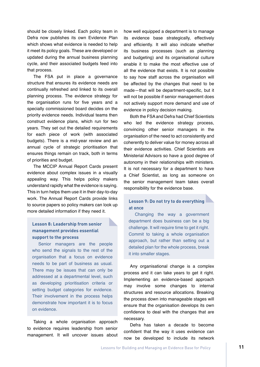should be closely linked. Each policy team in Defra now publishes its own [Evidence Plan](https://www.gov.uk/government/publications/evidence-plans) which shows what evidence is needed to help it meet its policy goals. These are developed or updated during the annual business planning cycle, and their associated budgets feed into that process.

The FSA put in place a governance structure that ensures its evidence needs are continually refreshed and linked to its overall planning process. The evidence strategy for the organisation runs for five years and a specially commissioned board decides on the priority evidence needs. Individual teams then construct evidence plans, which run for two years. They set out the detailed requirements for each piece of work (with associated budgets). There is a mid-year review and an annual cycle of strategic prioritisation that ensures things remain on track, both in terms of priorities and budget.

The MCCIP Annual Report Cards present evidence about complex issues in a visually appealing way. This helps policy makers understand rapidly what the evidence is saying. This in turn helps them use it in their day-to-day work. The Annual Report Cards provide links to source papers so policy makers can look up more detailed information if they need it.

#### **Lesson 8: Leadership from senior management provides essential support to the process**

Senior managers are the people who send the signals to the rest of the organisation that a focus on evidence needs to be part of business as usual. There may be issues that can only be addressed at a departmental level, such as developing prioritisation criteria or setting budget categories for evidence. Their involvement in the process helps demonstrate how important it is to focus on evidence.

Taking a whole organisation approach to evidence requires leadership from senior management. It will uncover issues about how well equipped a department is to manage its evidence base strategically, effectively and efficiently. It will also indicate whether its business processes (such as planning and budgeting) and its organisational culture enable it to make the most effective use of all the evidence that exists. It is not possible to say how staff across the organisation will be affected by the changes that need to be made—that will be department-specific, but it will not be possible if senior management does not actively support more demand and use of evidence in policy decision making.

Both the FSA and Defra had Chief Scientists who led the evidence strategy process, convincing other senior managers in the organisation of the need to act consistently and coherently to deliver value for money across all their evidence activities. Chief Scientists are Ministerial Advisors so have a good degree of autonomy in their relationships with ministers. It is not necessary for a department to have a Chief Scientist, as long as someone on the senior management team takes overall responsibility for the evidence base.

#### **Lesson 9: Do not try to do everything at once**

Changing the way a government department does business can be a big challenge. It will require time to get it right. Commit to taking a whole organisation approach, but rather than setting out a detailed plan for the whole process, break it into smaller stages.

Any organisational change is a complex process and it can take years to get it right. Implementing an evidence-based approach may involve some changes to internal structures and resource allocations. Breaking the process down into manageable stages will ensure that the organisation develops its own confidence to deal with the changes that are necessary.

Defra has taken a decade to become confident that the way it uses evidence can now be developed to include its network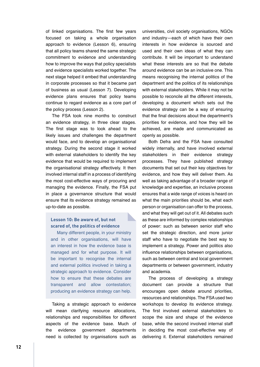of linked organisations. The first few years focused on taking a whole organisation approach to evidence (Lesson 6), ensuring that all policy teams shared the same strategic commitment to evidence and understanding how to improve the ways that policy specialists and evidence specialists worked together. The next stage helped it embed that understanding in corporate processes so that it became part of business as usual (Lesson 7). Developing evidence plans ensures that policy teams continue to regard evidence as a core part of the policy process (Lesson 2).

The FSA took nine months to construct an evidence strategy, in three clear stages. The first stage was to look ahead to the likely issues and challenges the department would face, and to develop an organisational strategy. During the second stage it worked with external stakeholders to identify the key evidence that would be required to implement the organisational strategy effectively. It then involved internal staff in a process of identifying the most cost-effective ways of procuring and managing the evidence. Finally, the FSA put in place a governance structure that would ensure that its evidence strategy remained as up-to-date as possible.

#### **Lesson 10: Be aware of, but not scared of, the politics of evidence**

Many different people, in your ministry and in other organisations, will have an interest in how the evidence base is managed and for what purpose. It will be important to recognise the internal and external politics involved in taking a strategic approach to evidence. Consider how to ensure that these debates are transparent and allow contestation; producing an evidence strategy can help.

Taking a strategic approach to evidence will mean clarifying resource allocations, relationships and responsibilities for different aspects of the evidence base. Much of the evidence government departments need is collected by organisations such as universities, civil society organisations, NGOs and industry—each of which have their own interests in how evidence is sourced and used and their own ideas of what they can contribute. It will be important to understand what these interests are so that the debate around evidence can be an inclusive one. This means recognising the internal politics of the department and the politics of its relationships with external stakeholders. While it may not be possible to reconcile all the different interests, developing a document which sets out the evidence strategy can be a way of ensuring that the final decisions about the department's priorities for evidence, and how they will be achieved, are made and communicated as openly as possible.

Both Defra and the FSA have consulted widely internally, and have involved external stakeholders in their evidence strategy processes. They have published strategy documents that set out their key objectives for evidence, and how they will deliver them. As well as taking advantage of a broader range of knowledge and expertise, an inclusive process ensures that a wide range of voices is heard on what the main priorities should be, what each person or organisation can offer to the process, and what they will get out of it. All debates such as these are informed by complex relationships of power: such as between senior staff who set the strategic direction, and more junior staff who have to negotiate the best way to implement a strategy. Power and politics also influence relationships between organisations, such as between central and local government departments or between government, industry and academia.

The process of developing a strategy document can provide a structure that encourages open debate around priorities, resources and relationships. The FSA used two workshops to develop its evidence strategy. The first involved external stakeholders to scope the size and shape of the evidence base, while the second involved internal staff in deciding the most cost-effective way of delivering it. External stakeholders remained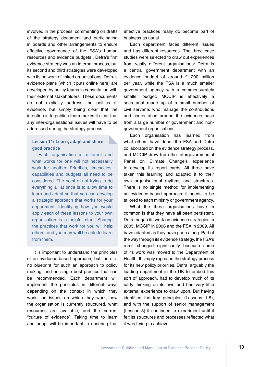involved in the process, commenting on drafts of the strategy document and participating in boards and other arrangements to ensure effective governance of the FSA's human resources and evidence budgets . Defra's first evidence strategy was an internal process, but its second and third strategies were developed with its network of linked organisations. Defra's evidence plans (which it puts online [here](https://www.gov.uk/government/publications/evidence-plans)) are developed by policy teams in consultation with their external stakeholders. These documents do not explicitly address the politics of evidence, but simply being clear that the intention is to publish them makes it clear that any inter-organisational issues will have to be addressed during the strategy process.

#### **Lesson 11: Learn, adapt and share good practice**

Each organisation is different and what works for one will not necessarily work for another. Priorities, timescales, capabilities and budgets all need to be considered. The point of not trying to do everything all at once is to allow time to learn and adapt so that you can develop a strategic approach that works for your department. Identifying how you would apply each of these lessons to your own organisation is a helpful start. Sharing the practices that work for you will help others, and you may well be able to learn from them.

It is important to understand the principles of an evidence-based approach, but there is no blueprint for such an approach to policy making, and no single best practice that can be recommended. Each department will implement the principles in different ways depending on the context in which they work, the issues on which they work, how the organisation is currently structured, what resources are available, and the current "culture of evidence". Taking time to learn and adapt will be important to ensuring that

effective practices really do become part of business as usual.

Each department faces different issues and has different resources. The three case studies were selected to draw out experiences from vastly different organisations: Defra is a central government department with an evidence budget of around £ 200 million per year, while the FSA is a much smaller government agency with a commensurately smaller budget. MCCIP is effectively a secretariat made up of a small number of civil servants who manage the contributions and contestation around the evidence base from a large number of government and nongovernment organisations.

Each organisation has learned from what others have done: the FSA and Defra collaborated on the evidence strategy process, and MCCIP drew from the Intergovernmental Panel on Climate Change's experience to develop its report cards. All three have taken this learning and adapted it to their own organisational rhythms and structures. There is no single method for implementing an evidence-based approach; it needs to be tailored to each ministry or government agency.

What the three organisations have in common is that they have all been persistent. Defra began its work on evidence strategies in 2005, MCCIP in 2006 and the FSA in 2009. All have adapted as they have gone along. Part of the way through its evidence strategy, the FSA's remit changed significantly because some of its work was moved to the Department of Health. It simply repeated the strategy process for its new policy priorities. Defra, arguably the leading department in the UK to embed this sort of approach, had to develop much of its early thinking on its own and had very little external experience to draw upon. But having identified the key principles (Lessons 1-5), and with the support of senior management (Lesson 8) it continued to experiment until it felt its structures and processes reflected what it was trying to achieve.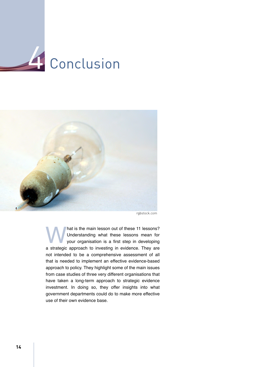



rgbstock.com

Mat is the main lesson out of these 11 lessons?<br>
Understanding what these lessons mean for<br>
your organisation is a first step in developing<br>
a strategic approach to investing in evidence. They are Understanding what these lessons mean for your organisation is a first step in developing not intended to be a comprehensive assessment of all that is needed to implement an effective evidence-based approach to policy. They highlight some of the main issues from case studies of three very different organisations that have taken a long-term approach to strategic evidence investment. In doing so, they offer insights into what government departments could do to make more effective use of their own evidence base.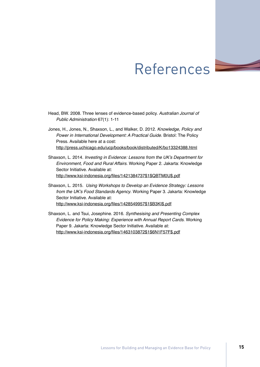### References

- Head, BW. 2008. Three lenses of evidence-based policy. Australian Journal of Public Administration 67(1): 1-11
- Jones, H., Jones, N., Shaxson, L., and Walker, D. 2012. Knowledge, Policy and Power in International Development: A Practical Guide. Bristol: The Policy Press. Available here at a cost: <http://press.uchicago.edu/ucp/books/book/distributed/K/bo13324388.html>
- Shaxson, L. 2014. Investing in Evidence: Lessons from the UK's Department for Environment, Food and Rural Affairs. Working Paper 2. Jakarta: Knowledge Sector Initiative. Available at: [http://www.ksi-indonesia.org/files/1421384737\\$1\\$QBTM0U\\$.pdf](http://www.ksi-indonesia.org/files/1421384737$1$QBTM0U$.pdf)
- Shaxson, L. 2015. Using Workshops to Develop an Evidence Strategy: Lessons from the UK's Food Standards Agency. Working Paper 3. Jakarta: Knowledge Sector Initiative. Available at: [http://www.ksi-indonesia.org/files/1428549957\\$1\\$B3KI\\$.pdf](http://www.ksi-indonesia.org/files/1428549957$1$B3KI$.pdf)
- Shaxson, L. and Tsui, Josephine. 2016. Synthesising and Presenting Complex Evidence for Policy Making: Experience with Annual Report Cards. Working Paper 9. Jakarta: Knowledge Sector Initiative. Available at: [http://www.ksi-indonesia.org/files/1463103872\\$1\\$6N1F57F\\$.pdf](http://www.ksi-indonesia.org/files/1463103872$1$6N1F57F$.pdf)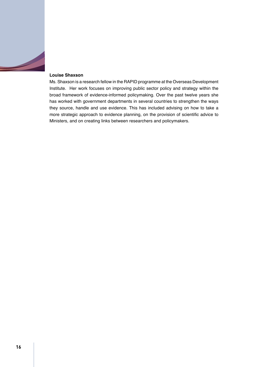

#### **Louise Shaxson**

Ms. Shaxson is a research fellow in the RAPID programme at the Overseas Development Institute. Her work focuses on improving public sector policy and strategy within the broad framework of evidence-informed policymaking. Over the past twelve years she has worked with government departments in several countries to strengthen the ways they source, handle and use evidence. This has included advising on how to take a more strategic approach to evidence planning, on the provision of scientific advice to Ministers, and on creating links between researchers and policymakers.